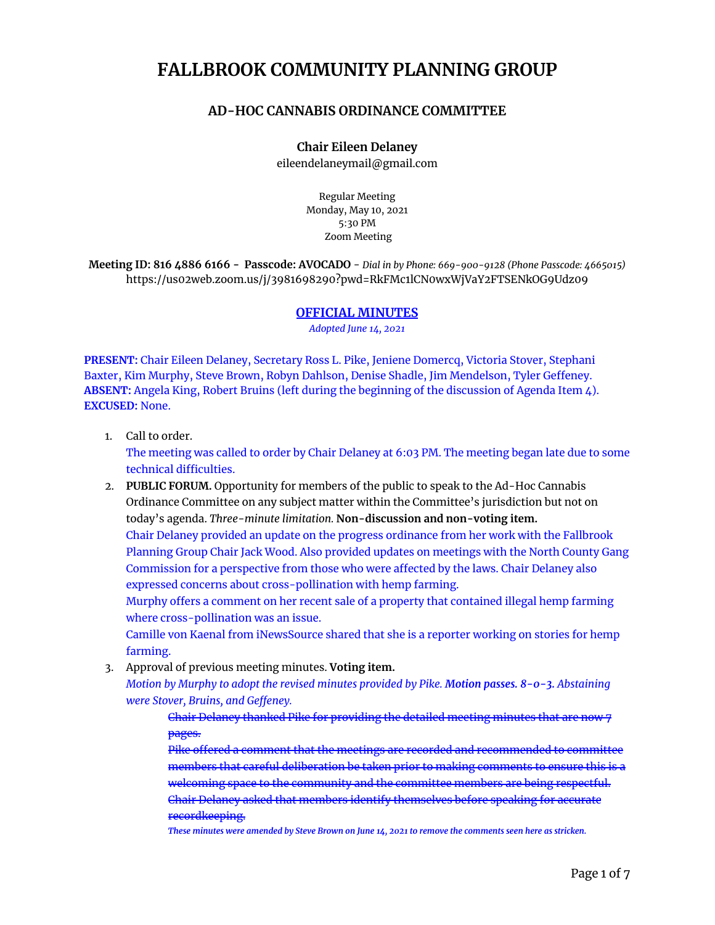# **FALLBROOK COMMUNITY PLANNING GROUP**

# **AD-HOC CANNABIS ORDINANCE COMMITTEE**

**Chair Eileen Delaney** eileendelaneymail@gmail.com

> Regular Meeting Monday, May 10, 2021 5:30 PM Zoom Meeting

**Meeting ID: 816 4886 6166 - Passcode: AVOCADO** - *Dial in by Phone: 669-900-9128 (Phone Passcode: 4665015)* https://us02web.zoom.us/j/3981698290?pwd=RkFMc1lCN0wxWjVaY2FTSENkOG9Udz09

#### **OFFICIAL MINUTES**

*Adopted June 14, 2021*

**PRESENT:** Chair Eileen Delaney, Secretary Ross L. Pike, Jeniene Domercq, Victoria Stover, Stephani Baxter, Kim Murphy, Steve Brown, Robyn Dahlson, Denise Shadle, Jim Mendelson, Tyler Geffeney. **ABSENT:** Angela King, Robert Bruins (left during the beginning of the discussion of Agenda Item 4). **EXCUSED:** None.

1. Call to order.

The meeting was called to order by Chair Delaney at 6:03 PM. The meeting began late due to some technical difficulties.

2. **PUBLIC FORUM.** Opportunity for members of the public to speak to the Ad-Hoc Cannabis Ordinance Committee on any subject matter within the Committee's jurisdiction but not on today's agenda. *Three-minute limitation.* **Non-discussion and non-voting item.** Chair Delaney provided an update on the progress ordinance from her work with the Fallbrook Planning Group Chair Jack Wood. Also provided updates on meetings with the North County Gang Commission for a perspective from those who were affected by the laws. Chair Delaney also expressed concerns about cross-pollination with hemp farming.

Murphy offers a comment on her recent sale of a property that contained illegal hemp farming where cross-pollination was an issue.

Camille von Kaenal from iNewsSource shared that she is a reporter working on stories for hemp farming.

3. Approval of previous meeting minutes. **Voting item.**

*Motion by Murphy to adopt the revised minutes provided by Pike. Motion passes. 8-0-3. Abstaining were Stover, Bruins, and Geffeney.*

Chair Delaney thanked Pike for providing the detailed meeting minutes that are now 7 pages.

Pike offered a comment that the meetings are recorded and recommended to committee members that careful deliberation be taken prior to making comments to ensure this is a welcoming space to the community and the committee members are being respectful. Chair Delaney asked that members identify themselves before speaking for accurate recordkeeping.

These minutes were amended by Steve Brown on June 14, 2021 to remove the comments seen here as stricken.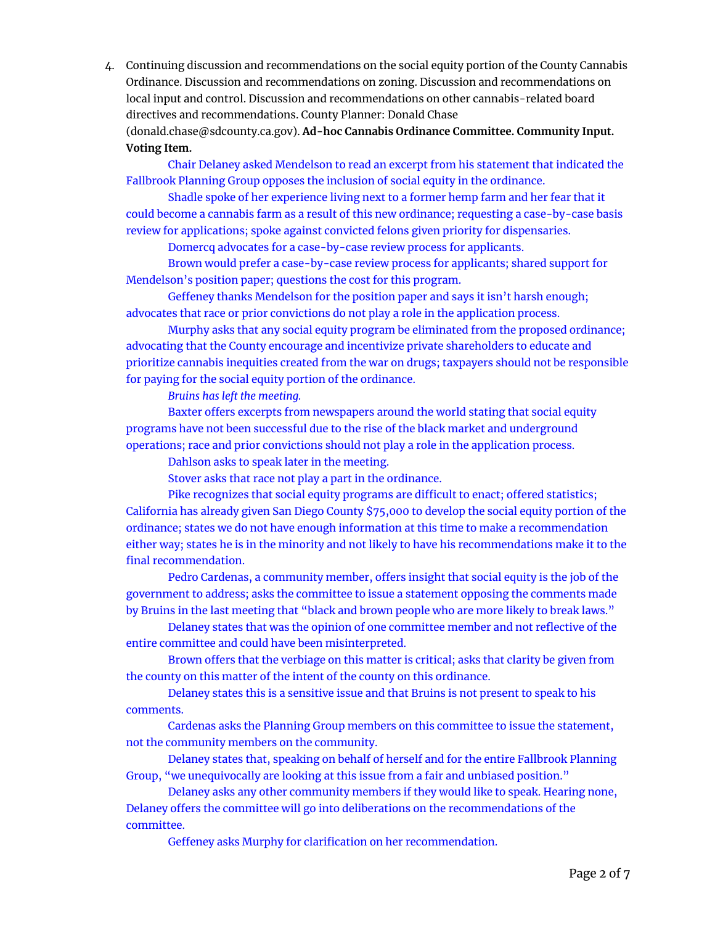4. Continuing discussion and recommendations on the social equity portion of the County Cannabis Ordinance. Discussion and recommendations on zoning. Discussion and recommendations on local input and control. Discussion and recommendations on other cannabis-related board directives and recommendations. County Planner: Donald Chase

([donald.chase@sdcounty.ca.gov\)](mailto:donald.chase@sdcounty.ca.gov). **Ad-hoc Cannabis Ordinance Committee. Community Input. Voting Item.**

Chair Delaney asked Mendelson to read an excerpt from his statement that indicated the Fallbrook Planning Group opposes the inclusion of social equity in the ordinance.

Shadle spoke of her experience living next to a former hemp farm and her fear that it could become a cannabis farm as a result of this new ordinance; requesting a case-by-case basis review for applications; spoke against convicted felons given priority for dispensaries.

Domercq advocates for a case-by-case review process for applicants.

Brown would prefer a case-by-case review process for applicants; shared support for Mendelson's position paper; questions the cost for this program.

Geffeney thanks Mendelson for the position paper and says it isn't harsh enough; advocates that race or prior convictions do not play a role in the application process.

Murphy asks that any social equity program be eliminated from the proposed ordinance; advocating that the County encourage and incentivize private shareholders to educate and prioritize cannabis inequities created from the war on drugs; taxpayers should not be responsible for paying for the social equity portion of the ordinance.

*Bruins has left the meeting.*

Baxter offers excerpts from newspapers around the world stating that social equity programs have not been successful due to the rise of the black market and underground operations; race and prior convictions should not play a role in the application process.

Dahlson asks to speak later in the meeting.

Stover asks that race not play a part in the ordinance.

Pike recognizes that social equity programs are difficult to enact; offered statistics; California has already given San Diego County \$75,000 to develop the social equity portion of the ordinance; states we do not have enough information at this time to make a recommendation either way; states he is in the minority and not likely to have his recommendations make it to the final recommendation.

Pedro Cardenas, a community member, offers insight that social equity is the job of the government to address; asks the committee to issue a statement opposing the comments made by Bruins in the last meeting that "black and brown people who are more likely to break laws."

Delaney states that was the opinion of one committee member and not reflective of the entire committee and could have been misinterpreted.

Brown offers that the verbiage on this matter is critical; asks that clarity be given from the county on this matter of the intent of the county on this ordinance.

Delaney states this is a sensitive issue and that Bruins is not present to speak to his comments.

Cardenas asks the Planning Group members on this committee to issue the statement, not the community members on the community.

Delaney states that, speaking on behalf of herself and for the entire Fallbrook Planning Group, "we unequivocally are looking at this issue from a fair and unbiased position."

Delaney asks any other community members if they would like to speak. Hearing none, Delaney offers the committee will go into deliberations on the recommendations of the committee.

Geffeney asks Murphy for clarification on her recommendation.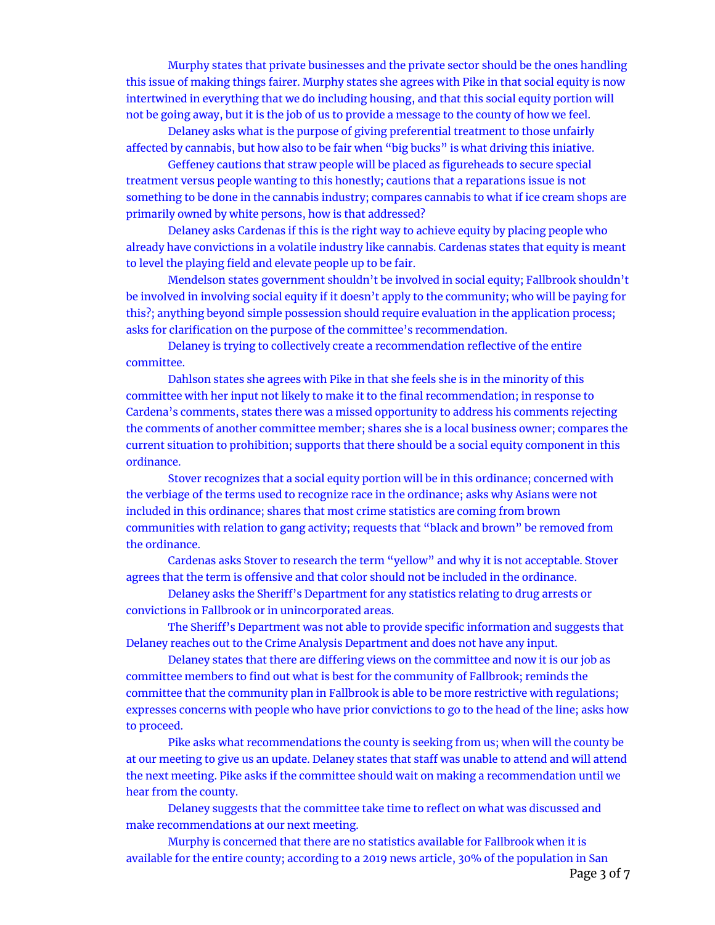Murphy states that private businesses and the private sector should be the ones handling this issue of making things fairer. Murphy states she agrees with Pike in that social equity is now intertwined in everything that we do including housing, and that this social equity portion will not be going away, but it is the job of us to provide a message to the county of how we feel.

Delaney asks what is the purpose of giving preferential treatment to those unfairly affected by cannabis, but how also to be fair when "big bucks" is what driving this iniative.

Geffeney cautions that straw people will be placed as figureheads to secure special treatment versus people wanting to this honestly; cautions that a reparations issue is not something to be done in the cannabis industry; compares cannabis to what if ice cream shops are primarily owned by white persons, how is that addressed?

Delaney asks Cardenas if this is the right way to achieve equity by placing people who already have convictions in a volatile industry like cannabis. Cardenas states that equity is meant to level the playing field and elevate people up to be fair.

Mendelson states government shouldn't be involved in social equity; Fallbrook shouldn't be involved in involving social equity if it doesn't apply to the community; who will be paying for this?; anything beyond simple possession should require evaluation in the application process; asks for clarification on the purpose of the committee's recommendation.

Delaney is trying to collectively create a recommendation reflective of the entire committee.

Dahlson states she agrees with Pike in that she feels she is in the minority of this committee with her input not likely to make it to the final recommendation; in response to Cardena's comments, states there was a missed opportunity to address his comments rejecting the comments of another committee member; shares she is a local business owner; compares the current situation to prohibition; supports that there should be a social equity component in this ordinance.

Stover recognizes that a social equity portion will be in this ordinance; concerned with the verbiage of the terms used to recognize race in the ordinance; asks why Asians were not included in this ordinance; shares that most crime statistics are coming from brown communities with relation to gang activity; requests that "black and brown" be removed from the ordinance.

Cardenas asks Stover to research the term "yellow" and why it is not acceptable. Stover agrees that the term is offensive and that color should not be included in the ordinance.

Delaney asks the Sheriff's Department for any statistics relating to drug arrests or convictions in Fallbrook or in unincorporated areas.

The Sheriff's Department was not able to provide specific information and suggests that Delaney reaches out to the Crime Analysis Department and does not have any input.

Delaney states that there are differing views on the committee and now it is our job as committee members to find out what is best for the community of Fallbrook; reminds the committee that the community plan in Fallbrook is able to be more restrictive with regulations; expresses concerns with people who have prior convictions to go to the head of the line; asks how to proceed.

Pike asks what recommendations the county is seeking from us; when will the county be at our meeting to give us an update. Delaney states that staff was unable to attend and will attend the next meeting. Pike asks if the committee should wait on making a recommendation until we hear from the county.

Delaney suggests that the committee take time to reflect on what was discussed and make recommendations at our next meeting.

Murphy is concerned that there are no statistics available for Fallbrook when it is available for the entire county; according to a 2019 news article, 30% of the population in San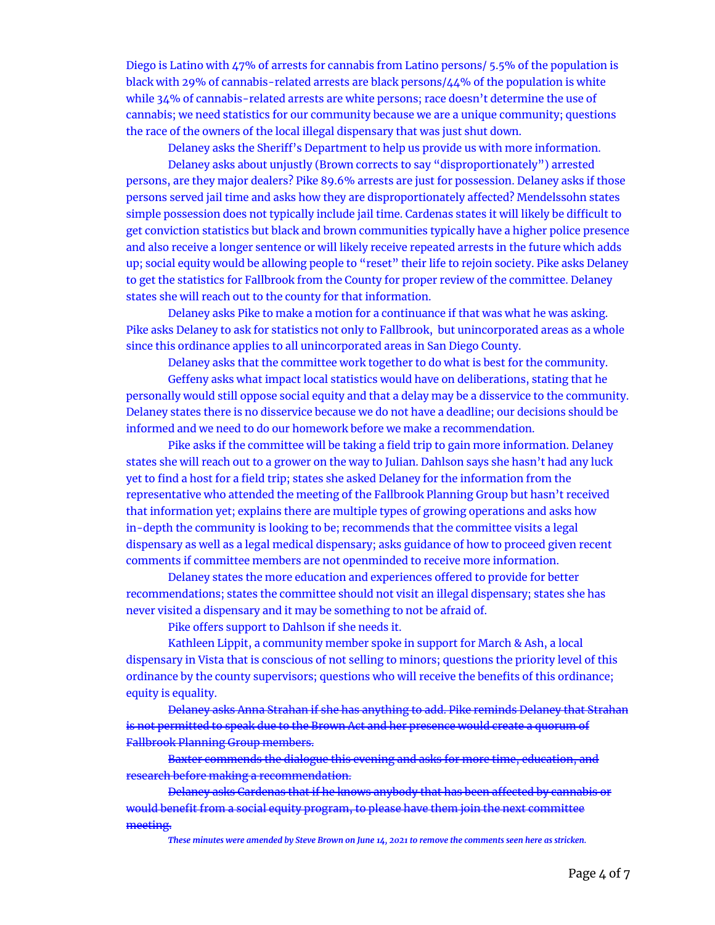Diego is Latino with 47% of arrests for cannabis from Latino persons/ 5.5% of the population is black with 29% of cannabis-related arrests are black persons/44% of the population is white while 34% of cannabis-related arrests are white persons; race doesn't determine the use of cannabis; we need statistics for our community because we are a unique community; questions the race of the owners of the local illegal dispensary that was just shut down.

Delaney asks the Sheriff's Department to help us provide us with more information. Delaney asks about unjustly (Brown corrects to say "disproportionately") arrested persons, are they major dealers? Pike 89.6% arrests are just for possession. Delaney asks if those persons served jail time and asks how they are disproportionately affected? Mendelssohn states simple possession does not typically include jail time. Cardenas states it will likely be difficult to get conviction statistics but black and brown communities typically have a higher police presence and also receive a longer sentence or will likely receive repeated arrests in the future which adds up; social equity would be allowing people to "reset" their life to rejoin society. Pike asks Delaney to get the statistics for Fallbrook from the County for proper review of the committee. Delaney states she will reach out to the county for that information.

Delaney asks Pike to make a motion for a continuance if that was what he was asking. Pike asks Delaney to ask for statistics not only to Fallbrook, but unincorporated areas as a whole since this ordinance applies to all unincorporated areas in San Diego County.

Delaney asks that the committee work together to do what is best for the community.

Geffeny asks what impact local statistics would have on deliberations, stating that he personally would still oppose social equity and that a delay may be a disservice to the community. Delaney states there is no disservice because we do not have a deadline; our decisions should be informed and we need to do our homework before we make a recommendation.

Pike asks if the committee will be taking a field trip to gain more information. Delaney states she will reach out to a grower on the way to Julian. Dahlson says she hasn't had any luck yet to find a host for a field trip; states she asked Delaney for the information from the representative who attended the meeting of the Fallbrook Planning Group but hasn't received that information yet; explains there are multiple types of growing operations and asks how in-depth the community is looking to be; recommends that the committee visits a legal dispensary as well as a legal medical dispensary; asks guidance of how to proceed given recent comments if committee members are not openminded to receive more information.

Delaney states the more education and experiences offered to provide for better recommendations; states the committee should not visit an illegal dispensary; states she has never visited a dispensary and it may be something to not be afraid of.

Pike offers support to Dahlson if she needs it.

Kathleen Lippit, a community member spoke in support for March & Ash, a local dispensary in Vista that is conscious of not selling to minors; questions the priority level of this ordinance by the county supervisors; questions who will receive the benefits of this ordinance; equity is equality.

Delaney asks Anna Strahan if she has anything to add. Pike reminds Delaney that Strahan is not permitted to speak due to the Brown Act and her presence would create a quorum of Fallbrook Planning Group members.

Baxter commends the dialogue this evening and asks for more time, education, and research before making a recommendation.

Delaney asks Cardenas that if he knows anybody that has been affected by cannabis or would benefit from a social equity program, to please have them join the next committee meeting.

These minutes were amended by Steve Brown on June 14, 2021 to remove the comments seen here as stricken.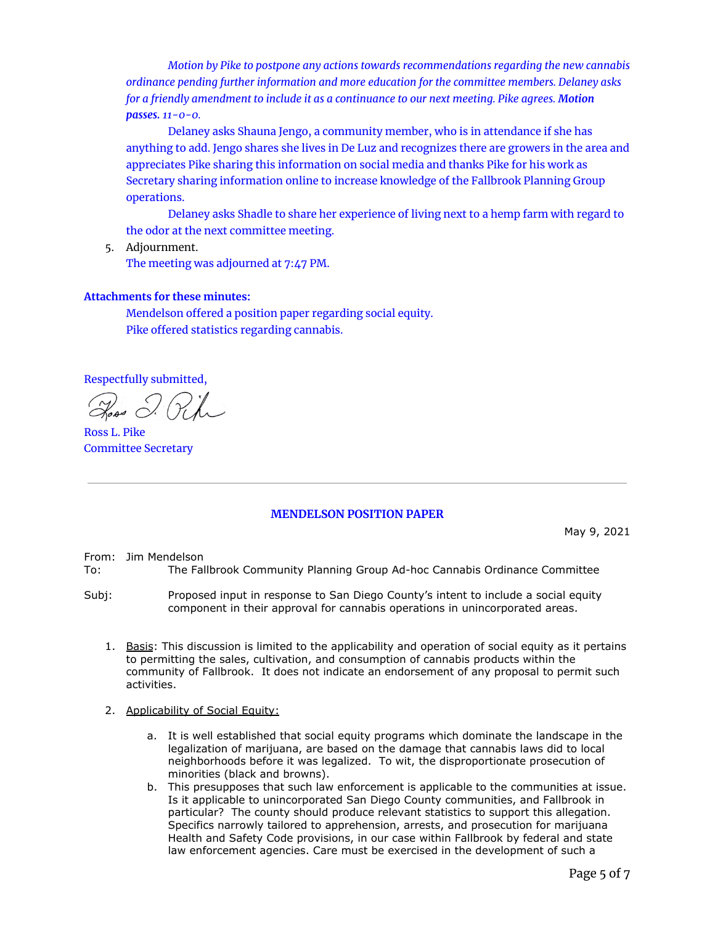*Motion by Pike to postpone any actions towards recommendations regarding the new cannabis ordinance pending further information and more education for the committee members. Delaney asks for a friendly amendment to include it as a continuance to our next meeting. Pike agrees. Motion passes. 11-0-0.*

Delaney asks Shauna Jengo, a community member, who is in attendance if she has anything to add. Jengo shares she lives in De Luz and recognizes there are growers in the area and appreciates Pike sharing this information on social media and thanks Pike for his work as Secretary sharing information online to increase knowledge of the Fallbrook Planning Group operations.

Delaney asks Shadle to share her experience of living next to a hemp farm with regard to the odor at the next committee meeting.

5. Adjournment. The meeting was adjourned at 7:47 PM.

### **Attachments for these minutes:**

Mendelson offered a position paper regarding social equity. Pike offered statistics regarding cannabis.

Respectfully submitted,

Ross L. Pike Committee Secretary

## **MENDELSON POSITION PAPER**

May 9, 2021

From: Jim Mendelson

- To: The Fallbrook Community Planning Group Ad-hoc Cannabis Ordinance Committee
- Subj: Proposed input in response to San Diego County's intent to include a social equity component in their approval for cannabis operations in unincorporated areas.
	- 1. Basis: This discussion is limited to the applicability and operation of social equity as it pertains to permitting the sales, cultivation, and consumption of cannabis products within the community of Fallbrook. It does not indicate an endorsement of any proposal to permit such activities.
	- 2. Applicability of Social Equity:
		- a. It is well established that social equity programs which dominate the landscape in the legalization of marijuana, are based on the damage that cannabis laws did to local neighborhoods before it was legalized. To wit, the disproportionate prosecution of minorities (black and browns).
		- b. This presupposes that such law enforcement is applicable to the communities at issue. Is it applicable to unincorporated San Diego County communities, and Fallbrook in particular? The county should produce relevant statistics to support this allegation. Specifics narrowly tailored to apprehension, arrests, and prosecution for marijuana Health and Safety Code provisions, in our case within Fallbrook by federal and state law enforcement agencies. Care must be exercised in the development of such a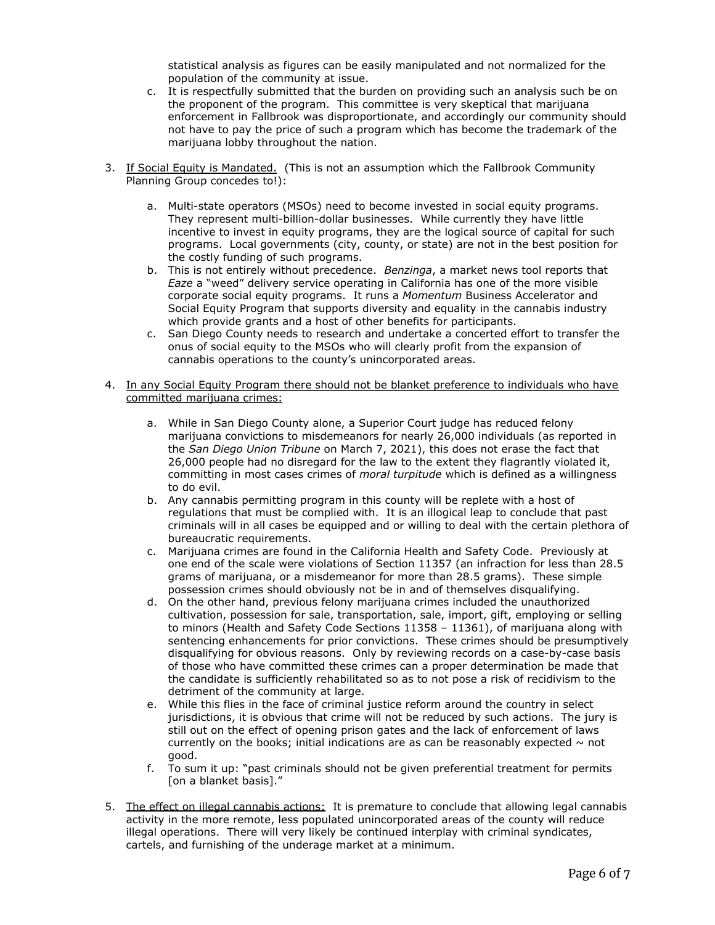statistical analysis as figures can be easily manipulated and not normalized for the population of the community at issue.

- c. It is respectfully submitted that the burden on providing such an analysis such be on the proponent of the program. This committee is very skeptical that marijuana enforcement in Fallbrook was disproportionate, and accordingly our community should not have to pay the price of such a program which has become the trademark of the marijuana lobby throughout the nation.
- 3. If Social Equity is Mandated. (This is not an assumption which the Fallbrook Community Planning Group concedes to!):
	- a. Multi-state operators (MSOs) need to become invested in social equity programs. They represent multi-billion-dollar businesses. While currently they have little incentive to invest in equity programs, they are the logical source of capital for such programs. Local governments (city, county, or state) are not in the best position for the costly funding of such programs.
	- b. This is not entirely without precedence. *Benzinga*, a market news tool reports that *Eaze* a "weed" delivery service operating in California has one of the more visible corporate social equity programs. It runs a *Momentum* Business Accelerator and Social Equity Program that supports diversity and equality in the cannabis industry which provide grants and a host of other benefits for participants.
	- c. San Diego County needs to research and undertake a concerted effort to transfer the onus of social equity to the MSOs who will clearly profit from the expansion of cannabis operations to the county's unincorporated areas.
- 4. In any Social Equity Program there should not be blanket preference to individuals who have committed marijuana crimes:
	- a. While in San Diego County alone, a Superior Court judge has reduced felony marijuana convictions to misdemeanors for nearly 26,000 individuals (as reported in the *San Diego Union Tribune* on March 7, 2021), this does not erase the fact that 26,000 people had no disregard for the law to the extent they flagrantly violated it, committing in most cases crimes of *moral turpitude* which is defined as a willingness to do evil.
	- b. Any cannabis permitting program in this county will be replete with a host of regulations that must be complied with. It is an illogical leap to conclude that past criminals will in all cases be equipped and or willing to deal with the certain plethora of bureaucratic requirements.
	- c. Marijuana crimes are found in the California Health and Safety Code. Previously at one end of the scale were violations of Section 11357 (an infraction for less than 28.5 grams of marijuana, or a misdemeanor for more than 28.5 grams). These simple possession crimes should obviously not be in and of themselves disqualifying.
	- d. On the other hand, previous felony marijuana crimes included the unauthorized cultivation, possession for sale, transportation, sale, import, gift, employing or selling to minors (Health and Safety Code Sections 11358 – 11361), of marijuana along with sentencing enhancements for prior convictions. These crimes should be presumptively disqualifying for obvious reasons. Only by reviewing records on a case-by-case basis of those who have committed these crimes can a proper determination be made that the candidate is sufficiently rehabilitated so as to not pose a risk of recidivism to the detriment of the community at large.
	- e. While this flies in the face of criminal justice reform around the country in select jurisdictions, it is obvious that crime will not be reduced by such actions. The jury is still out on the effect of opening prison gates and the lack of enforcement of laws currently on the books; initial indications are as can be reasonably expected  $\sim$  not good.
	- f. To sum it up: "past criminals should not be given preferential treatment for permits [on a blanket basis]."
- 5. The effect on illegal cannabis actions: It is premature to conclude that allowing legal cannabis activity in the more remote, less populated unincorporated areas of the county will reduce illegal operations. There will very likely be continued interplay with criminal syndicates, cartels, and furnishing of the underage market at a minimum.